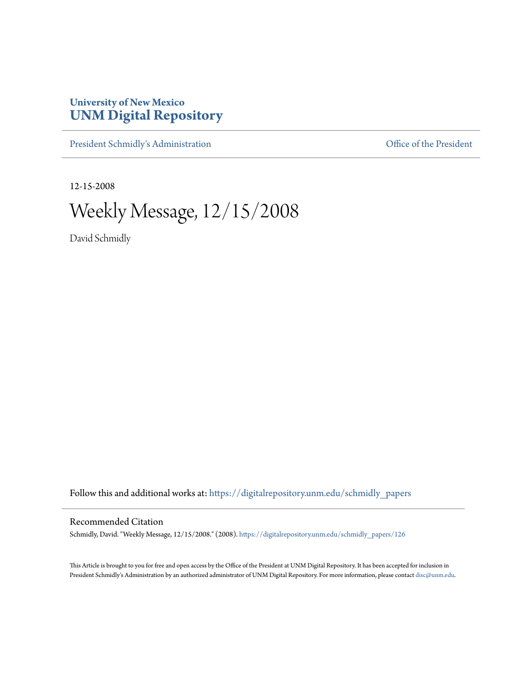## **University of New Mexico [UNM Digital Repository](https://digitalrepository.unm.edu?utm_source=digitalrepository.unm.edu%2Fschmidly_papers%2F126&utm_medium=PDF&utm_campaign=PDFCoverPages)**

[President Schmidly's Administration](https://digitalrepository.unm.edu/schmidly_papers?utm_source=digitalrepository.unm.edu%2Fschmidly_papers%2F126&utm_medium=PDF&utm_campaign=PDFCoverPages) [Office of the President](https://digitalrepository.unm.edu/ofc_president?utm_source=digitalrepository.unm.edu%2Fschmidly_papers%2F126&utm_medium=PDF&utm_campaign=PDFCoverPages)

12-15-2008

Weekly Message, 12/15/2008

David Schmidly

Follow this and additional works at: [https://digitalrepository.unm.edu/schmidly\\_papers](https://digitalrepository.unm.edu/schmidly_papers?utm_source=digitalrepository.unm.edu%2Fschmidly_papers%2F126&utm_medium=PDF&utm_campaign=PDFCoverPages)

## Recommended Citation

Schmidly, David. "Weekly Message, 12/15/2008." (2008). [https://digitalrepository.unm.edu/schmidly\\_papers/126](https://digitalrepository.unm.edu/schmidly_papers/126?utm_source=digitalrepository.unm.edu%2Fschmidly_papers%2F126&utm_medium=PDF&utm_campaign=PDFCoverPages)

This Article is brought to you for free and open access by the Office of the President at UNM Digital Repository. It has been accepted for inclusion in President Schmidly's Administration by an authorized administrator of UNM Digital Repository. For more information, please contact [disc@unm.edu](mailto:disc@unm.edu).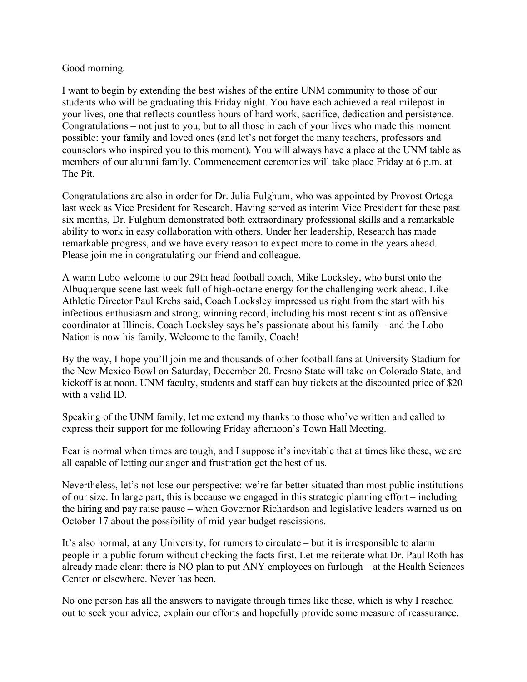## Good morning.

I want to begin by extending the best wishes of the entire UNM community to those of our students who will be graduating this Friday night. You have each achieved a real milepost in your lives, one that reflects countless hours of hard work, sacrifice, dedication and persistence. Congratulations – not just to you, but to all those in each of your lives who made this moment possible: your family and loved ones (and let's not forget the many teachers, professors and counselors who inspired you to this moment). You will always have a place at the UNM table as members of our alumni family. Commencement ceremonies will take place Friday at 6 p.m. at The Pit.

Congratulations are also in order for Dr. Julia Fulghum, who was appointed by Provost Ortega last week as Vice President for Research. Having served as interim Vice President for these past six months, Dr. Fulghum demonstrated both extraordinary professional skills and a remarkable ability to work in easy collaboration with others. Under her leadership, Research has made remarkable progress, and we have every reason to expect more to come in the years ahead. Please join me in congratulating our friend and colleague.

A warm Lobo welcome to our 29th head football coach, Mike Locksley, who burst onto the Albuquerque scene last week full of high-octane energy for the challenging work ahead. Like Athletic Director Paul Krebs said, Coach Locksley impressed us right from the start with his infectious enthusiasm and strong, winning record, including his most recent stint as offensive coordinator at Illinois. Coach Locksley says he's passionate about his family – and the Lobo Nation is now his family. Welcome to the family, Coach!

By the way, I hope you'll join me and thousands of other football fans at University Stadium for the New Mexico Bowl on Saturday, December 20. Fresno State will take on Colorado State, and kickoff is at noon. UNM faculty, students and staff can buy tickets at the discounted price of \$20 with a valid ID.

Speaking of the UNM family, let me extend my thanks to those who've written and called to express their support for me following Friday afternoon's Town Hall Meeting.

Fear is normal when times are tough, and I suppose it's inevitable that at times like these, we are all capable of letting our anger and frustration get the best of us.

Nevertheless, let's not lose our perspective: we're far better situated than most public institutions of our size. In large part, this is because we engaged in this strategic planning effort – including the hiring and pay raise pause – when Governor Richardson and legislative leaders warned us on October 17 about the possibility of mid-year budget rescissions.

It's also normal, at any University, for rumors to circulate – but it is irresponsible to alarm people in a public forum without checking the facts first. Let me reiterate what Dr. Paul Roth has already made clear: there is NO plan to put ANY employees on furlough – at the Health Sciences Center or elsewhere. Never has been.

No one person has all the answers to navigate through times like these, which is why I reached out to seek your advice, explain our efforts and hopefully provide some measure of reassurance.